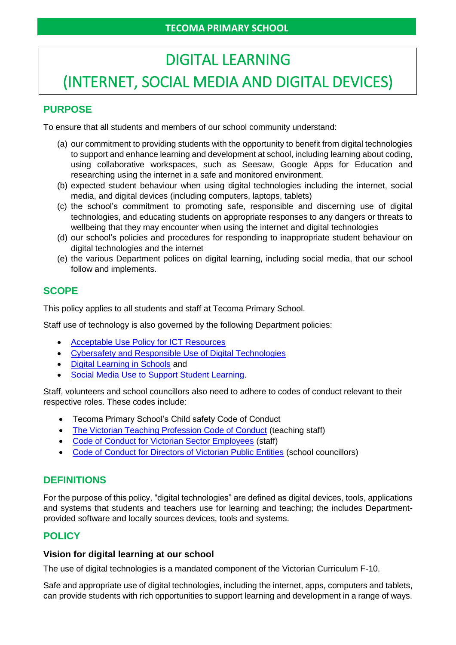# DIGITAL LEARNING (INTERNET, SOCIAL MEDIA AND DIGITAL DEVICES)

# **PURPOSE**

To ensure that all students and members of our school community understand:

- (a) our commitment to providing students with the opportunity to benefit from digital technologies to support and enhance learning and development at school, including learning about coding, using collaborative workspaces, such as Seesaw, Google Apps for Education and researching using the internet in a safe and monitored environment.
- (b) expected student behaviour when using digital technologies including the internet, social media, and digital devices (including computers, laptops, tablets)
- (c) the school's commitment to promoting safe, responsible and discerning use of digital technologies, and educating students on appropriate responses to any dangers or threats to wellbeing that they may encounter when using the internet and digital technologies
- (d) our school's policies and procedures for responding to inappropriate student behaviour on digital technologies and the internet
- (e) the various Department polices on digital learning, including social media, that our school follow and implements.

## **SCOPE**

This policy applies to all students and staff at Tecoma Primary School.

Staff use of technology is also governed by the following Department policies:

- [Acceptable Use Policy](https://www2.education.vic.gov.au/pal/ict-acceptable-use/overview) for ICT Resources
- [Cybersafety and Responsible Use of Digital Technologies](https://www2.education.vic.gov.au/pal/cybersafety/policy)
- [Digital Learning in Schools](https://www2.education.vic.gov.au/pal/digital-learning/policy) and
- [Social Media Use to Support Student Learning.](https://www2.education.vic.gov.au/pal/social-media/policy)

Staff, volunteers and school councillors also need to adhere to codes of conduct relevant to their respective roles. These codes include:

- Tecoma Primary School's Child safety Code of Conduct
- [The Victorian Teaching Profession Code of Conduct](https://www.vit.vic.edu.au/__data/assets/pdf_file/0018/35604/Code-of-Conduct-2016.pdf) (teaching staff)
- [Code of Conduct for Victorian Sector Employees](https://www2.education.vic.gov.au/pal/code-conduct/overview) (staff)
- [Code of Conduct for Directors of Victorian Public Entities](https://www2.education.vic.gov.au/pal/school-council-conduct/policy) (school councillors)

## **DEFINITIONS**

For the purpose of this policy, "digital technologies" are defined as digital devices, tools, applications and systems that students and teachers use for learning and teaching; the includes Departmentprovided software and locally sources devices, tools and systems.

## **POLICY**

#### **Vision for digital learning at our school**

The use of digital technologies is a mandated component of the Victorian Curriculum F-10.

Safe and appropriate use of digital technologies, including the internet, apps, computers and tablets, can provide students with rich opportunities to support learning and development in a range of ways.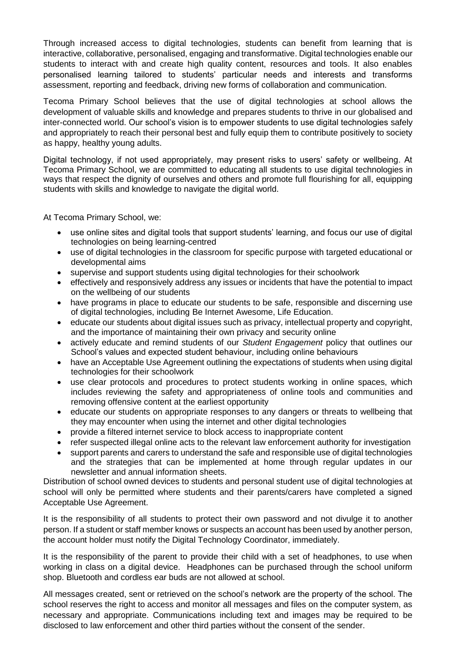Through increased access to digital technologies, students can benefit from learning that is interactive, collaborative, personalised, engaging and transformative. Digital technologies enable our students to interact with and create high quality content, resources and tools. It also enables personalised learning tailored to students' particular needs and interests and transforms assessment, reporting and feedback, driving new forms of collaboration and communication.

Tecoma Primary School believes that the use of digital technologies at school allows the development of valuable skills and knowledge and prepares students to thrive in our globalised and inter-connected world. Our school's vision is to empower students to use digital technologies safely and appropriately to reach their personal best and fully equip them to contribute positively to society as happy, healthy young adults.

Digital technology, if not used appropriately, may present risks to users' safety or wellbeing. At Tecoma Primary School, we are committed to educating all students to use digital technologies in ways that respect the dignity of ourselves and others and promote full flourishing for all, equipping students with skills and knowledge to navigate the digital world.

At Tecoma Primary School, we:

- use online sites and digital tools that support students' learning, and focus our use of digital technologies on being learning-centred
- use of digital technologies in the classroom for specific purpose with targeted educational or developmental aims
- supervise and support students using digital technologies for their schoolwork
- effectively and responsively address any issues or incidents that have the potential to impact on the wellbeing of our students
- have programs in place to educate our students to be safe, responsible and discerning use of digital technologies, including Be Internet Awesome, Life Education.
- educate our students about digital issues such as privacy, intellectual property and copyright, and the importance of maintaining their own privacy and security online
- actively educate and remind students of our *Student Engagement* policy that outlines our School's values and expected student behaviour, including online behaviours
- have an Acceptable Use Agreement outlining the expectations of students when using digital technologies for their schoolwork
- use clear protocols and procedures to protect students working in online spaces, which includes reviewing the safety and appropriateness of online tools and communities and removing offensive content at the earliest opportunity
- educate our students on appropriate responses to any dangers or threats to wellbeing that they may encounter when using the internet and other digital technologies
- provide a filtered internet service to block access to inappropriate content
- refer suspected illegal online acts to the relevant law enforcement authority for investigation
- support parents and carers to understand the safe and responsible use of digital technologies and the strategies that can be implemented at home through regular updates in our newsletter and annual information sheets.

Distribution of school owned devices to students and personal student use of digital technologies at school will only be permitted where students and their parents/carers have completed a signed Acceptable Use Agreement.

It is the responsibility of all students to protect their own password and not divulge it to another person. If a student or staff member knows or suspects an account has been used by another person, the account holder must notify the Digital Technology Coordinator, immediately.

It is the responsibility of the parent to provide their child with a set of headphones, to use when working in class on a digital device. Headphones can be purchased through the school uniform shop. Bluetooth and cordless ear buds are not allowed at school.

All messages created, sent or retrieved on the school's network are the property of the school. The school reserves the right to access and monitor all messages and files on the computer system, as necessary and appropriate. Communications including text and images may be required to be disclosed to law enforcement and other third parties without the consent of the sender.